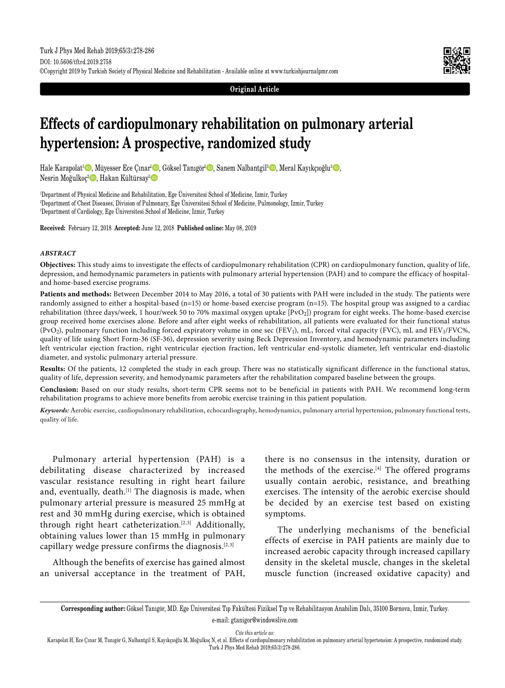**Original Article**

# **Effects of cardiopulmonary rehabilitation on pulmonary arterial hypertension: A prospective, randomized study**

Hale Karapolat<sup>1</sup> (D, Müyesser Ece Çınar<sup>ı</sup> (D, Göksel Tanıgör<sup>1</sup> (D, Sanem Nalbantgil<sup>3</sup> (D, Meral Kayıkçıoğlu<sup>3</sup> (D, Nesrin Moğulkoç<sup>2</sup> D, Hakan Kültürsay<sup>3</sup> D

1 Department of Physical Medicine and Rehabilitation, Ege Üniversitesi School of Medicine, Izmir, Turkey 2 Department of Chest Diseases, Division of Pulmonary, Ege Üniversitesi School of Medicine, Pulmonology, Izmir, Turkey 3 Department of Cardiology, Ege Üniversitesi School of Medicine, Izmir, Turkey

**Received:** February 12, 2018 **Accepted:** June 12, 2018 **Published online:** May 08, 2019

#### *ABSTRACT*

**Objectives:** This study aims to investigate the effects of cardiopulmonary rehabilitation (CPR) on cardiopulmonary function, quality of life, depression, and hemodynamic parameters in patients with pulmonary arterial hypertension (PAH) and to compare the efficacy of hospitaland home-based exercise programs.

**Patients and methods:** Between December 2014 to May 2016, a total of 30 patients with PAH were included in the study. The patients were randomly assigned to either a hospital-based (n=15) or home-based exercise program (n=15). The hospital group was assigned to a cardiac rehabilitation (three days/week, 1 hour/week 50 to 70% maximal oxygen uptake [PvO2]) program for eight weeks. The home-based exercise group received home exercises alone. Before and after eight weeks of rehabilitation, all patients were evaluated for their functional status (PvO<sub>2</sub>), pulmonary function including forced expiratory volume in one sec (FEV<sub>1</sub>), mL, forced vital capacity (FVC), mL and FEV<sub>1</sub>/FVC%, quality of life using Short Form-36 (SF-36), depression severity using Beck Depression Inventory, and hemodynamic parameters including left ventricular ejection fraction, right ventricular ejection fraction, left ventricular end-systolic diameter, left ventricular end-diastolic diameter, and systolic pulmonary arterial pressure.

**Results:** Of the patients, 12 completed the study in each group. There was no statistically significant difference in the functional status, quality of life, depression severity, and hemodynamic parameters after the rehabilitation compared baseline between the groups.

**Conclusion:** Based on our study results, short-term CPR seems not to be beneficial in patients with PAH. We recommend long-term rehabilitation programs to achieve more benefits from aerobic exercise training in this patient population.

*Keywords:* Aerobic exercise, cardiopulmonary rehabilitation, echocardiography, hemodynamics, pulmonary arterial hypertension, pulmonary functional tests, quality of life.

Pulmonary arterial hypertension (PAH) is a debilitating disease characterized by increased vascular resistance resulting in right heart failure and, eventually, death.<sup>[1]</sup> The diagnosis is made, when pulmonary arterial pressure is measured 25 mmHg at rest and 30 mmHg during exercise, which is obtained through right heart catheterization.[2,3] Additionally, obtaining values lower than 15 mmHg in pulmonary capillary wedge pressure confirms the diagnosis.[2,3]

Although the benefits of exercise has gained almost an universal acceptance in the treatment of PAH, there is no consensus in the intensity, duration or the methods of the exercise.[4] The offered programs usually contain aerobic, resistance, and breathing exercises. The intensity of the aerobic exercise should be decided by an exercise test based on existing symptoms.

The underlying mechanisms of the beneficial effects of exercise in PAH patients are mainly due to increased aerobic capacity through increased capillary density in the skeletal muscle, changes in the skeletal muscle function (increased oxidative capacity) and

**Corresponding author:** Göksel Tanıgör, MD. Ege Üniversitesi Tıp Fakültesi Fiziksel Tıp ve Rehabilitasyon Anabilim Dalı, 35100 Bornova, İzmir, Turkey. e-mail: gtanigor@windowslive.com

*Cite this article as:*

Karapolat H, Ece Cınar M, Tanıgör G, Nalbantgil S, Kayıkçıoğlu M, Moğulkoç N, et al. Effects of cardiopulmonary rehabilitation on pulmonary arterial hypertension: A prospective, randomized study. Turk J Phys Med Rehab 2019;65(3):278-286.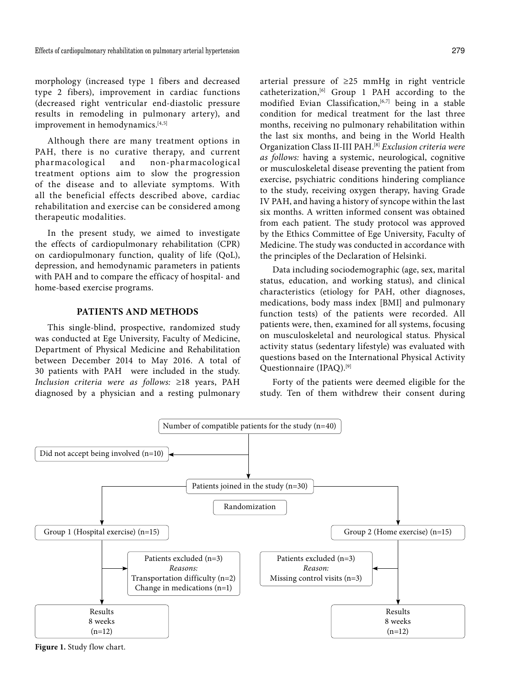morphology (increased type 1 fibers and decreased type 2 fibers), improvement in cardiac functions (decreased right ventricular end-diastolic pressure results in remodeling in pulmonary artery), and improvement in hemodynamics.<sup>[4,5]</sup>

Although there are many treatment options in PAH, there is no curative therapy, and current pharmacological and non-pharmacological treatment options aim to slow the progression of the disease and to alleviate symptoms. With all the beneficial effects described above, cardiac rehabilitation and exercise can be considered among therapeutic modalities.

In the present study, we aimed to investigate the effects of cardiopulmonary rehabilitation (CPR) on cardiopulmonary function, quality of life (QoL), depression, and hemodynamic parameters in patients with PAH and to compare the efficacy of hospital- and home-based exercise programs.

## **PATIENTS AND METHODS**

This single-blind, prospective, randomized study was conducted at Ege University, Faculty of Medicine, Department of Physical Medicine and Rehabilitation between December 2014 to May 2016. A total of 30 patients with PAH were included in the study. *Inclusion criteria were as follows:* ≥18 years, PAH diagnosed by a physician and a resting pulmonary arterial pressure of ≥25 mmHg in right ventricle catheterization,[6] Group 1 PAH according to the modified Evian Classification,<sup>[6,7]</sup> being in a stable condition for medical treatment for the last three months, receiving no pulmonary rehabilitation within the last six months, and being in the World Health Organization Class II-III PAH.[8] *Exclusion criteria were as follows:* having a systemic, neurological, cognitive or musculoskeletal disease preventing the patient from exercise, psychiatric conditions hindering compliance to the study, receiving oxygen therapy, having Grade IV PAH, and having a history of syncope within the last six months. A written informed consent was obtained from each patient. The study protocol was approved by the Ethics Committee of Ege University, Faculty of Medicine. The study was conducted in accordance with the principles of the Declaration of Helsinki.

Data including sociodemographic (age, sex, marital status, education, and working status), and clinical characteristics (etiology for PAH, other diagnoses, medications, body mass index [BMI] and pulmonary function tests) of the patients were recorded. All patients were, then, examined for all systems, focusing on musculoskeletal and neurological status. Physical activity status (sedentary lifestyle) was evaluated with questions based on the International Physical Activity Questionnaire (IPAQ).[9]

Forty of the patients were deemed eligible for the study. Ten of them withdrew their consent during



**Figure 1.** Study flow chart.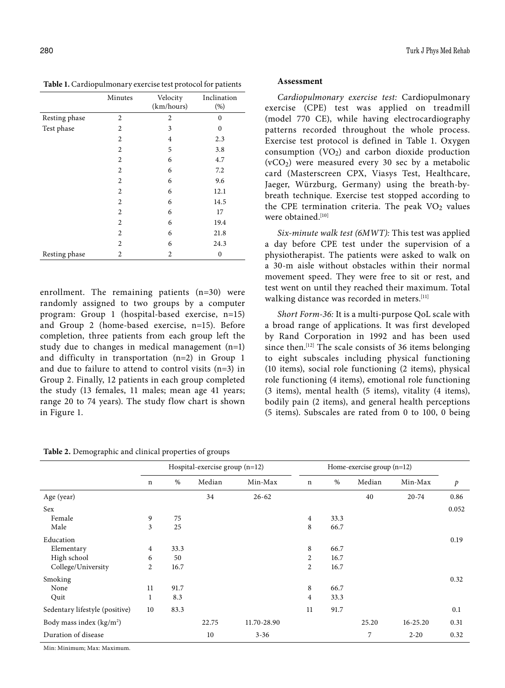**Table 1.** Cardiopulmonary exercise test protocol for patients

|               | Minutes        | Velocity<br>(km/hours) | Inclination<br>(%) |
|---------------|----------------|------------------------|--------------------|
| Resting phase | $\overline{c}$ | $\overline{c}$         | $\mathbf{0}$       |
| Test phase    | 2              | 3                      | 0                  |
|               | 2              | 4                      | 2.3                |
|               | $\overline{2}$ | 5                      | 3.8                |
|               | 2              | 6                      | 4.7                |
|               | 2              | 6                      | 7.2                |
|               | 2              | 6                      | 9.6                |
|               | $\overline{2}$ | 6                      | 12.1               |
|               | 2              | 6                      | 14.5               |
|               | $\overline{2}$ | 6                      | 17                 |
|               | 2              | 6                      | 19.4               |
|               | $\overline{2}$ | 6                      | 21.8               |
|               | $\overline{c}$ | 6                      | 24.3               |
| Resting phase | 2              | 2                      | $\bf{0}$           |

enrollment. The remaining patients (n=30) were randomly assigned to two groups by a computer program: Group 1 (hospital-based exercise, n=15) and Group 2 (home-based exercise, n=15). Before completion, three patients from each group left the study due to changes in medical management  $(n=1)$ and difficulty in transportation (n=2) in Group 1 and due to failure to attend to control visits (n=3) in Group 2. Finally, 12 patients in each group completed the study (13 females, 11 males; mean age 41 years; range 20 to 74 years). The study flow chart is shown in Figure 1.

**Table 2.** Demographic and clinical properties of groups

# **Assessment**

*Cardiopulmonary exercise test:* Cardiopulmonary exercise (CPE) test was applied on treadmill (model 770 CE), while having electrocardiography patterns recorded throughout the whole process. Exercise test protocol is defined in Table 1. Oxygen consumption  $(VO<sub>2</sub>)$  and carbon dioxide production (vCO2) were measured every 30 sec by a metabolic card (Masterscreen CPX, Viasys Test, Healthcare, Jaeger, Würzburg, Germany) using the breath-bybreath technique. Exercise test stopped according to the CPE termination criteria. The peak  $VO<sub>2</sub>$  values were obtained.<sup>[10]</sup>

*Six-minute walk test (6MWT):* This test was applied a day before CPE test under the supervision of a physiotherapist. The patients were asked to walk on a 30-m aisle without obstacles within their normal movement speed. They were free to sit or rest, and test went on until they reached their maximum. Total walking distance was recorded in meters.<sup>[11]</sup>

*Short Form-36:* It is a multi-purpose QoL scale with a broad range of applications. It was first developed by Rand Corporation in 1992 and has been used since then.<sup>[12]</sup> The scale consists of 36 items belonging to eight subscales including physical functioning (10 items), social role functioning (2 items), physical role functioning (4 items), emotional role functioning (3 items), mental health (5 items), vitality (4 items), bodily pain (2 items), and general health perceptions (5 items). Subscales are rated from 0 to 100, 0 being

|                                |                |      | Hospital-exercise group $(n=12)$ |             |                |      | Home-exercise group $(n=12)$ |           |                |
|--------------------------------|----------------|------|----------------------------------|-------------|----------------|------|------------------------------|-----------|----------------|
|                                | n              | $\%$ | Median                           | Min-Max     | $\mathbf n$    | %    | Median                       | Min-Max   | $\mathfrak{p}$ |
| Age (year)                     |                |      | 34                               | $26 - 62$   |                |      | 40                           | $20 - 74$ | 0.86           |
| <b>Sex</b>                     |                |      |                                  |             |                |      |                              |           | 0.052          |
| Female                         | 9              | 75   |                                  |             | $\overline{4}$ | 33.3 |                              |           |                |
| Male                           | 3              | 25   |                                  |             | 8              | 66.7 |                              |           |                |
| Education                      |                |      |                                  |             |                |      |                              |           | 0.19           |
| Elementary                     | 4              | 33.3 |                                  |             | 8              | 66.7 |                              |           |                |
| High school                    | 6              | 50   |                                  |             | 2              | 16.7 |                              |           |                |
| College/University             | $\overline{2}$ | 16.7 |                                  |             | $\overline{2}$ | 16.7 |                              |           |                |
| Smoking                        |                |      |                                  |             |                |      |                              |           | 0.32           |
| None                           | 11             | 91.7 |                                  |             | 8              | 66.7 |                              |           |                |
| Quit                           | 1              | 8.3  |                                  |             | 4              | 33.3 |                              |           |                |
| Sedentary lifestyle (positive) | 10             | 83.3 |                                  |             | 11             | 91.7 |                              |           | 0.1            |
| Body mass index $(kg/m2)$      |                |      | 22.75                            | 11.70-28.90 |                |      | 25.20                        | 16-25.20  | 0.31           |
| Duration of disease            |                |      | 10                               | $3 - 36$    |                |      | 7                            | $2 - 20$  | 0.32           |

Min: Minimum; Max: Maximum.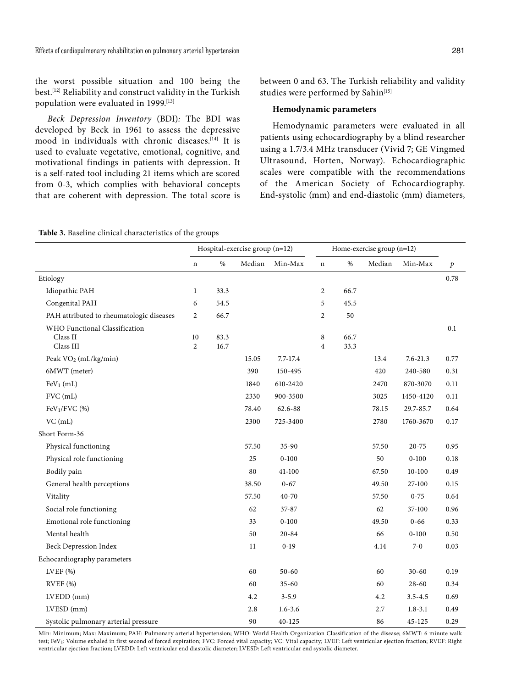the worst possible situation and 100 being the best.[12] Reliability and construct validity in the Turkish population were evaluated in 1999.[13]

*Beck Depression Inventory* (BDI)*:* The BDI was developed by Beck in 1961 to assess the depressive mood in individuals with chronic diseases.[14] It is used to evaluate vegetative, emotional, cognitive, and motivational findings in patients with depression. It is a self-rated tool including 21 items which are scored from 0-3, which complies with behavioral concepts that are coherent with depression. The total score is between 0 and 63. The Turkish reliability and validity studies were performed by Sahin<sup>[15]</sup>

# **Hemodynamic parameters**

Hemodynamic parameters were evaluated in all patients using echocardiography by a blind researcher using a 1.7/3.4 MHz transducer (Vivid 7; GE Vingmed Ultrasound, Horten, Norway). Echocardiographic scales were compatible with the recommendations of the American Society of Echocardiography. End-systolic (mm) and end-diastolic (mm) diameters,

|  |  |  |  | <b>Table 3.</b> Baseline clinical characteristics of the groups |  |  |  |
|--|--|--|--|-----------------------------------------------------------------|--|--|--|
|--|--|--|--|-----------------------------------------------------------------|--|--|--|

|                                                        | Hospital-exercise group (n=12) |              |        |             | Home-exercise group (n=12) |              |        |              |                  |
|--------------------------------------------------------|--------------------------------|--------------|--------|-------------|----------------------------|--------------|--------|--------------|------------------|
|                                                        | $\bf n$                        | $\%$         | Median | Min-Max     | $\mathbf n$                | $\%$         | Median | Min-Max      | $\boldsymbol{p}$ |
| Etiology                                               |                                |              |        |             |                            |              |        |              | 0.78             |
| Idiopathic PAH                                         | 1                              | 33.3         |        |             | 2                          | 66.7         |        |              |                  |
| Congenital PAH                                         | 6                              | 54.5         |        |             | 5                          | 45.5         |        |              |                  |
| PAH attributed to rheumatologic diseases               | $\overline{2}$                 | 66.7         |        |             | $\overline{c}$             | 50           |        |              |                  |
| WHO Functional Classification<br>Class II<br>Class III | $10\,$<br>$\overline{2}$       | 83.3<br>16.7 |        |             | $\,8\,$<br>$\overline{4}$  | 66.7<br>33.3 |        |              | 0.1              |
| Peak VO <sub>2</sub> (mL/kg/min)                       |                                |              | 15.05  | 7.7-17.4    |                            |              | 13.4   | $7.6 - 21.3$ | 0.77             |
| 6MWT (meter)                                           |                                |              | 390    | 150-495     |                            |              | 420    | 240-580      | 0.31             |
| $FeV1$ (mL)                                            |                                |              | 1840   | 610-2420    |                            |              | 2470   | 870-3070     | 0.11             |
| FVC (mL)                                               |                                |              | 2330   | 900-3500    |                            |              | 3025   | 1450-4120    | 0.11             |
| $FeV1/FVC$ (%)                                         |                                |              | 78.40  | $62.6 - 88$ |                            |              | 78.15  | 29.7-85.7    | 0.64             |
| $VC$ (mL)                                              |                                |              | 2300   | 725-3400    |                            |              | 2780   | 1760-3670    | 0.17             |
| Short Form-36                                          |                                |              |        |             |                            |              |        |              |                  |
| Physical functioning                                   |                                |              | 57.50  | $35 - 90$   |                            |              | 57.50  | 20-75        | 0.95             |
| Physical role functioning                              |                                |              | 25     | $0 - 100$   |                            |              | 50     | $0 - 100$    | 0.18             |
| Bodily pain                                            |                                |              | 80     | 41-100      |                            |              | 67.50  | $10 - 100$   | 0.49             |
| General health perceptions                             |                                |              | 38.50  | $0 - 67$    |                            |              | 49.50  | 27-100       | 0.15             |
| Vitality                                               |                                |              | 57.50  | 40-70       |                            |              | 57.50  | $0 - 75$     | 0.64             |
| Social role functioning                                |                                |              | 62     | $37 - 87$   |                            |              | 62     | 37-100       | 0.96             |
| Emotional role functioning                             |                                |              | 33     | $0 - 100$   |                            |              | 49.50  | $0 - 66$     | 0.33             |
| Mental health                                          |                                |              | 50     | $20 - 84$   |                            |              | 66     | $0 - 100$    | 0.50             |
| <b>Beck Depression Index</b>                           |                                |              | 11     | $0-19$      |                            |              | 4.14   | $7 - 0$      | 0.03             |
| Echocardiography parameters                            |                                |              |        |             |                            |              |        |              |                  |
| LVEF $(%)$                                             |                                |              | 60     | $50 - 60$   |                            |              | 60     | $30 - 60$    | 0.19             |
| RVEF (%)                                               |                                |              | 60     | $35 - 60$   |                            |              | 60     | $28 - 60$    | 0.34             |
| $LVEDD$ (mm)                                           |                                |              | 4.2    | $3 - 5.9$   |                            |              | 4.2    | $3.5 - 4.5$  | 0.69             |
| $LVESD$ (mm)                                           |                                |              | 2.8    | $1.6 - 3.6$ |                            |              | 2.7    | $1.8 - 3.1$  | 0.49             |
| Systolic pulmonary arterial pressure                   |                                |              | 90     | 40-125      |                            |              | 86     | 45-125       | 0.29             |

Min: Minimum; Max: Maximum; PAH: Pulmonary arterial hypertension; WHO: World Health Organization Classification of the disease; 6MWT: 6 minute walk test; FeV1: Volume exhaled in first second of forced expiration; FVC: Forced vital capacity; VC: Vital capacity; LVEF: Left ventricular ejection fraction; RVEF: Right ventricular ejection fraction; LVEDD: Left ventricular end diastolic diameter; LVESD: Left ventricular end systolic diameter.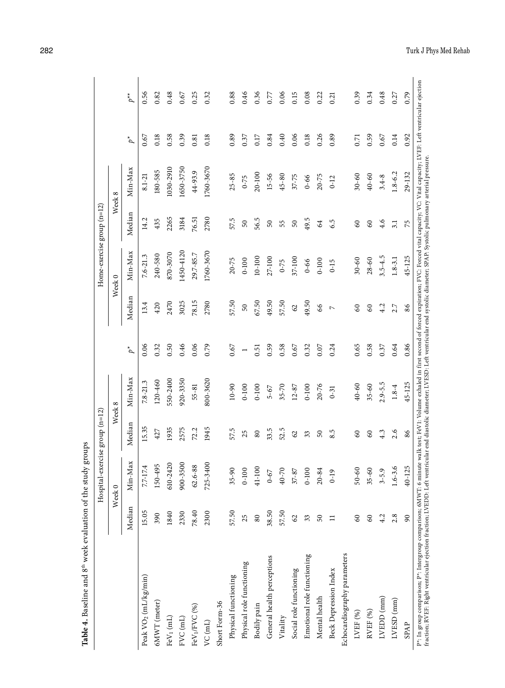| 0.79<br>0.46<br>0.06<br>0.39<br>0.56<br>0.48<br>0.25<br>0.32<br>0.88<br>0.36<br>0.15<br>0.08<br>0.34<br>0.48<br>$p^{\star\star}$<br>0.82<br>0.22<br>0.27<br>0.67<br>0.77<br>0.21<br>0.06<br>0.26<br>0.59<br>0.14<br>0.92<br>0.18<br>0.58<br>0.39<br>0.89<br>0.40<br>0.18<br>0.89<br>0.18<br>0.84<br>0.37<br>0.17<br>0.67<br>0.81<br>0.71<br>0.67<br>$\phi^*$<br>1760-3670<br>Min-Max<br>1030-2910<br>1650-3750<br>180-585<br>44-93.9<br>$1.8 - 6.2$<br>29-132<br>20-100<br>$25 - 85$<br>$15 - 56$<br>40-60<br>$30 - 60$<br>$8.1 - 21$<br>$45 - 80$<br>$37 - 75$<br>20-75<br>$3.4 - 8$<br>$0 - 66$<br>$0 - 75$<br>$0-12$<br>Week 8<br>Median<br>2265<br>2780<br>3184<br>14.2<br>57.5<br>56.5<br>49.5<br>76.51<br>435<br>6.5<br>4.6<br>50<br>$50\,$<br>$50\,$<br>64<br>60<br>60<br>3.1<br>55<br>75<br>1760-3670<br>1450-4120<br>Min-Max<br>870-3070<br>29.7-85.7<br>240-580<br>$7.6 - 21.3$<br>$3.5 - 4.5$<br>45-125<br>$10 - 100$<br>27-100<br>37-100<br>$20 - 75$<br>$1.8 - 3.1$<br>$0 - 100$<br>$30 - 60$<br>$28 - 60$<br>$0 - 100$<br>$0 - 75$<br>$0 - 66$<br>$0 - 15$<br>Week <sub>0</sub><br>Median<br>78.15<br>67.50<br>3025<br>2780<br>57.50<br>49.50<br>57.50<br>49.50<br>2470<br>13.4<br>420<br>50<br>$\mathcal{O}$<br>66<br>4.2<br>2.7<br>86<br>60<br>60<br>$\triangleright$<br>0.65<br>0.86<br>0.06<br>0.32<br>0.50<br>0.46<br>0.06<br>0.79<br>$0.67\,$<br>0.59<br>0.58<br>0.58<br>0.37<br>0.64<br>0.67<br>0.32<br>0.07<br>0.24<br>0.51<br>$\phi^*$<br>$\overline{ }$<br>Min-Max<br>800-3620<br>550-2400<br>920-3350<br>120-460<br>$7.8 - 21.3$<br>45-125<br>$2.9 - 5.5$<br>$0 - 90$<br>40-60<br>$35 - 60$<br>$0 - 100$<br>20-76<br>$1.8 - 4$<br>55-81<br>$0 - 100$<br>$0 - 100$<br>$35 - 70$<br>$12 - 87$<br>$5 - 67$<br>$0-31$<br>Week 8<br>Median<br>15.35<br>1945<br>1935<br>2575<br>33.5<br>52.5<br>72.2<br>57.5<br>427<br>8.5<br>2.6<br>4.3<br>25<br>86<br>80<br>50<br>60<br>60<br>$\mathcal{O}$<br>33<br>Min-Max<br>725-3400<br>610-2420<br>900-3500<br>150-495<br>88<br>7.7-17.4<br>ڢ<br>40-125<br>41-100<br>9<br>40-70<br>$50 - 60$<br>$35 - 60$<br>$0 - 100$<br>$0 - 100$<br>$20 - 84$<br>$37 - 87$<br>Ò<br>$0-67$<br>$62.6 -$<br>$35-9$<br>$3 - 5.$<br>$1.6 - 3$<br>$\overline{1}$<br>Week <sub>0</sub><br>Median<br>38.50<br>15.05<br>57.50<br>78.40<br>57.50<br>1840<br>2330<br>2300<br>390<br>2.8<br>4.2<br>25<br>80<br>$\mathcal{S}$<br>50<br>60<br>60<br>$\overline{6}$<br>33<br>$\Box$<br>Echocardiography parameters<br>Emotional role functioning<br>General health perceptions<br>Physical role functioning<br>Social role functioning<br><b>Beck Depression Index</b><br>Peak VO <sub>2</sub> (mL/kg/min)<br>Physical functioning<br>Mental health<br>LVEDD (mm)<br>LVESD (mm)<br>6MWT (meter)<br>Short Form-36<br>FeV <sub>1</sub> /FVC <sub>(%)</sub><br>Bodily pain<br>RVEF (%)<br>LVEF (%)<br>$FeV1$ (mL)<br>FVC (mL)<br>Vitality<br>$VC$ (mL)<br><b>SPAP</b> |  | Hospital- | exercise group (n=12) |  | Home-exercise group (n=12) |  |  |
|--------------------------------------------------------------------------------------------------------------------------------------------------------------------------------------------------------------------------------------------------------------------------------------------------------------------------------------------------------------------------------------------------------------------------------------------------------------------------------------------------------------------------------------------------------------------------------------------------------------------------------------------------------------------------------------------------------------------------------------------------------------------------------------------------------------------------------------------------------------------------------------------------------------------------------------------------------------------------------------------------------------------------------------------------------------------------------------------------------------------------------------------------------------------------------------------------------------------------------------------------------------------------------------------------------------------------------------------------------------------------------------------------------------------------------------------------------------------------------------------------------------------------------------------------------------------------------------------------------------------------------------------------------------------------------------------------------------------------------------------------------------------------------------------------------------------------------------------------------------------------------------------------------------------------------------------------------------------------------------------------------------------------------------------------------------------------------------------------------------------------------------------------------------------------------------------------------------------------------------------------------------------------------------------------------------------------------------------------------------------------------------------------------------------------------------------------------------------------------------------------------------------------------------------------------------------------------------------------------------------------------------------------------------------------------------------------------------------------------------------------------------------------------------------------------------------------------------------------------------------------------------------------|--|-----------|-----------------------|--|----------------------------|--|--|
|                                                                                                                                                                                                                                                                                                                                                                                                                                                                                                                                                                                                                                                                                                                                                                                                                                                                                                                                                                                                                                                                                                                                                                                                                                                                                                                                                                                                                                                                                                                                                                                                                                                                                                                                                                                                                                                                                                                                                                                                                                                                                                                                                                                                                                                                                                                                                                                                                                                                                                                                                                                                                                                                                                                                                                                                                                                                                                  |  |           |                       |  |                            |  |  |
|                                                                                                                                                                                                                                                                                                                                                                                                                                                                                                                                                                                                                                                                                                                                                                                                                                                                                                                                                                                                                                                                                                                                                                                                                                                                                                                                                                                                                                                                                                                                                                                                                                                                                                                                                                                                                                                                                                                                                                                                                                                                                                                                                                                                                                                                                                                                                                                                                                                                                                                                                                                                                                                                                                                                                                                                                                                                                                  |  |           |                       |  |                            |  |  |
|                                                                                                                                                                                                                                                                                                                                                                                                                                                                                                                                                                                                                                                                                                                                                                                                                                                                                                                                                                                                                                                                                                                                                                                                                                                                                                                                                                                                                                                                                                                                                                                                                                                                                                                                                                                                                                                                                                                                                                                                                                                                                                                                                                                                                                                                                                                                                                                                                                                                                                                                                                                                                                                                                                                                                                                                                                                                                                  |  |           |                       |  |                            |  |  |
|                                                                                                                                                                                                                                                                                                                                                                                                                                                                                                                                                                                                                                                                                                                                                                                                                                                                                                                                                                                                                                                                                                                                                                                                                                                                                                                                                                                                                                                                                                                                                                                                                                                                                                                                                                                                                                                                                                                                                                                                                                                                                                                                                                                                                                                                                                                                                                                                                                                                                                                                                                                                                                                                                                                                                                                                                                                                                                  |  |           |                       |  |                            |  |  |
|                                                                                                                                                                                                                                                                                                                                                                                                                                                                                                                                                                                                                                                                                                                                                                                                                                                                                                                                                                                                                                                                                                                                                                                                                                                                                                                                                                                                                                                                                                                                                                                                                                                                                                                                                                                                                                                                                                                                                                                                                                                                                                                                                                                                                                                                                                                                                                                                                                                                                                                                                                                                                                                                                                                                                                                                                                                                                                  |  |           |                       |  |                            |  |  |
|                                                                                                                                                                                                                                                                                                                                                                                                                                                                                                                                                                                                                                                                                                                                                                                                                                                                                                                                                                                                                                                                                                                                                                                                                                                                                                                                                                                                                                                                                                                                                                                                                                                                                                                                                                                                                                                                                                                                                                                                                                                                                                                                                                                                                                                                                                                                                                                                                                                                                                                                                                                                                                                                                                                                                                                                                                                                                                  |  |           |                       |  |                            |  |  |
|                                                                                                                                                                                                                                                                                                                                                                                                                                                                                                                                                                                                                                                                                                                                                                                                                                                                                                                                                                                                                                                                                                                                                                                                                                                                                                                                                                                                                                                                                                                                                                                                                                                                                                                                                                                                                                                                                                                                                                                                                                                                                                                                                                                                                                                                                                                                                                                                                                                                                                                                                                                                                                                                                                                                                                                                                                                                                                  |  |           |                       |  |                            |  |  |
|                                                                                                                                                                                                                                                                                                                                                                                                                                                                                                                                                                                                                                                                                                                                                                                                                                                                                                                                                                                                                                                                                                                                                                                                                                                                                                                                                                                                                                                                                                                                                                                                                                                                                                                                                                                                                                                                                                                                                                                                                                                                                                                                                                                                                                                                                                                                                                                                                                                                                                                                                                                                                                                                                                                                                                                                                                                                                                  |  |           |                       |  |                            |  |  |
|                                                                                                                                                                                                                                                                                                                                                                                                                                                                                                                                                                                                                                                                                                                                                                                                                                                                                                                                                                                                                                                                                                                                                                                                                                                                                                                                                                                                                                                                                                                                                                                                                                                                                                                                                                                                                                                                                                                                                                                                                                                                                                                                                                                                                                                                                                                                                                                                                                                                                                                                                                                                                                                                                                                                                                                                                                                                                                  |  |           |                       |  |                            |  |  |
|                                                                                                                                                                                                                                                                                                                                                                                                                                                                                                                                                                                                                                                                                                                                                                                                                                                                                                                                                                                                                                                                                                                                                                                                                                                                                                                                                                                                                                                                                                                                                                                                                                                                                                                                                                                                                                                                                                                                                                                                                                                                                                                                                                                                                                                                                                                                                                                                                                                                                                                                                                                                                                                                                                                                                                                                                                                                                                  |  |           |                       |  |                            |  |  |
|                                                                                                                                                                                                                                                                                                                                                                                                                                                                                                                                                                                                                                                                                                                                                                                                                                                                                                                                                                                                                                                                                                                                                                                                                                                                                                                                                                                                                                                                                                                                                                                                                                                                                                                                                                                                                                                                                                                                                                                                                                                                                                                                                                                                                                                                                                                                                                                                                                                                                                                                                                                                                                                                                                                                                                                                                                                                                                  |  |           |                       |  |                            |  |  |
|                                                                                                                                                                                                                                                                                                                                                                                                                                                                                                                                                                                                                                                                                                                                                                                                                                                                                                                                                                                                                                                                                                                                                                                                                                                                                                                                                                                                                                                                                                                                                                                                                                                                                                                                                                                                                                                                                                                                                                                                                                                                                                                                                                                                                                                                                                                                                                                                                                                                                                                                                                                                                                                                                                                                                                                                                                                                                                  |  |           |                       |  |                            |  |  |
|                                                                                                                                                                                                                                                                                                                                                                                                                                                                                                                                                                                                                                                                                                                                                                                                                                                                                                                                                                                                                                                                                                                                                                                                                                                                                                                                                                                                                                                                                                                                                                                                                                                                                                                                                                                                                                                                                                                                                                                                                                                                                                                                                                                                                                                                                                                                                                                                                                                                                                                                                                                                                                                                                                                                                                                                                                                                                                  |  |           |                       |  |                            |  |  |
|                                                                                                                                                                                                                                                                                                                                                                                                                                                                                                                                                                                                                                                                                                                                                                                                                                                                                                                                                                                                                                                                                                                                                                                                                                                                                                                                                                                                                                                                                                                                                                                                                                                                                                                                                                                                                                                                                                                                                                                                                                                                                                                                                                                                                                                                                                                                                                                                                                                                                                                                                                                                                                                                                                                                                                                                                                                                                                  |  |           |                       |  |                            |  |  |
|                                                                                                                                                                                                                                                                                                                                                                                                                                                                                                                                                                                                                                                                                                                                                                                                                                                                                                                                                                                                                                                                                                                                                                                                                                                                                                                                                                                                                                                                                                                                                                                                                                                                                                                                                                                                                                                                                                                                                                                                                                                                                                                                                                                                                                                                                                                                                                                                                                                                                                                                                                                                                                                                                                                                                                                                                                                                                                  |  |           |                       |  |                            |  |  |
|                                                                                                                                                                                                                                                                                                                                                                                                                                                                                                                                                                                                                                                                                                                                                                                                                                                                                                                                                                                                                                                                                                                                                                                                                                                                                                                                                                                                                                                                                                                                                                                                                                                                                                                                                                                                                                                                                                                                                                                                                                                                                                                                                                                                                                                                                                                                                                                                                                                                                                                                                                                                                                                                                                                                                                                                                                                                                                  |  |           |                       |  |                            |  |  |
|                                                                                                                                                                                                                                                                                                                                                                                                                                                                                                                                                                                                                                                                                                                                                                                                                                                                                                                                                                                                                                                                                                                                                                                                                                                                                                                                                                                                                                                                                                                                                                                                                                                                                                                                                                                                                                                                                                                                                                                                                                                                                                                                                                                                                                                                                                                                                                                                                                                                                                                                                                                                                                                                                                                                                                                                                                                                                                  |  |           |                       |  |                            |  |  |
|                                                                                                                                                                                                                                                                                                                                                                                                                                                                                                                                                                                                                                                                                                                                                                                                                                                                                                                                                                                                                                                                                                                                                                                                                                                                                                                                                                                                                                                                                                                                                                                                                                                                                                                                                                                                                                                                                                                                                                                                                                                                                                                                                                                                                                                                                                                                                                                                                                                                                                                                                                                                                                                                                                                                                                                                                                                                                                  |  |           |                       |  |                            |  |  |
|                                                                                                                                                                                                                                                                                                                                                                                                                                                                                                                                                                                                                                                                                                                                                                                                                                                                                                                                                                                                                                                                                                                                                                                                                                                                                                                                                                                                                                                                                                                                                                                                                                                                                                                                                                                                                                                                                                                                                                                                                                                                                                                                                                                                                                                                                                                                                                                                                                                                                                                                                                                                                                                                                                                                                                                                                                                                                                  |  |           |                       |  |                            |  |  |
|                                                                                                                                                                                                                                                                                                                                                                                                                                                                                                                                                                                                                                                                                                                                                                                                                                                                                                                                                                                                                                                                                                                                                                                                                                                                                                                                                                                                                                                                                                                                                                                                                                                                                                                                                                                                                                                                                                                                                                                                                                                                                                                                                                                                                                                                                                                                                                                                                                                                                                                                                                                                                                                                                                                                                                                                                                                                                                  |  |           |                       |  |                            |  |  |
|                                                                                                                                                                                                                                                                                                                                                                                                                                                                                                                                                                                                                                                                                                                                                                                                                                                                                                                                                                                                                                                                                                                                                                                                                                                                                                                                                                                                                                                                                                                                                                                                                                                                                                                                                                                                                                                                                                                                                                                                                                                                                                                                                                                                                                                                                                                                                                                                                                                                                                                                                                                                                                                                                                                                                                                                                                                                                                  |  |           |                       |  |                            |  |  |
|                                                                                                                                                                                                                                                                                                                                                                                                                                                                                                                                                                                                                                                                                                                                                                                                                                                                                                                                                                                                                                                                                                                                                                                                                                                                                                                                                                                                                                                                                                                                                                                                                                                                                                                                                                                                                                                                                                                                                                                                                                                                                                                                                                                                                                                                                                                                                                                                                                                                                                                                                                                                                                                                                                                                                                                                                                                                                                  |  |           |                       |  |                            |  |  |
|                                                                                                                                                                                                                                                                                                                                                                                                                                                                                                                                                                                                                                                                                                                                                                                                                                                                                                                                                                                                                                                                                                                                                                                                                                                                                                                                                                                                                                                                                                                                                                                                                                                                                                                                                                                                                                                                                                                                                                                                                                                                                                                                                                                                                                                                                                                                                                                                                                                                                                                                                                                                                                                                                                                                                                                                                                                                                                  |  |           |                       |  |                            |  |  |
|                                                                                                                                                                                                                                                                                                                                                                                                                                                                                                                                                                                                                                                                                                                                                                                                                                                                                                                                                                                                                                                                                                                                                                                                                                                                                                                                                                                                                                                                                                                                                                                                                                                                                                                                                                                                                                                                                                                                                                                                                                                                                                                                                                                                                                                                                                                                                                                                                                                                                                                                                                                                                                                                                                                                                                                                                                                                                                  |  |           |                       |  |                            |  |  |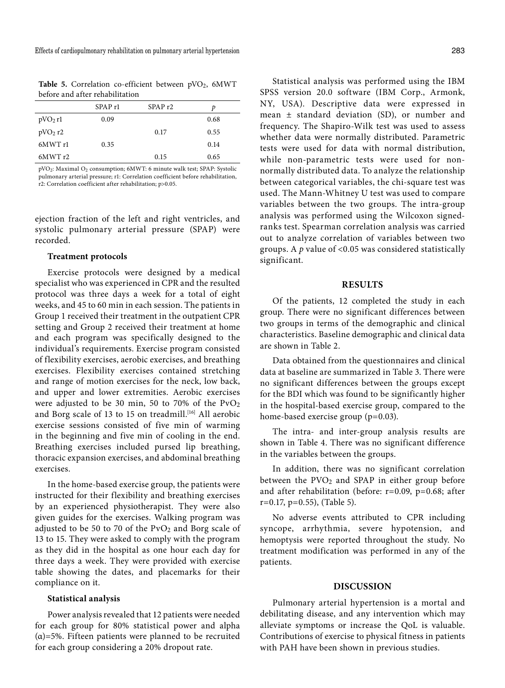Table 5. Correlation co-efficient between pVO<sub>2</sub>, 6MWT before and after rehabilitation

|           | SPAP <sub>r1</sub> | SPAP <sub>r2</sub> | D    |
|-----------|--------------------|--------------------|------|
| $pVO2$ rl | 0.09               |                    | 0.68 |
| $pVO2$ r2 |                    | 0.17               | 0.55 |
| 6MWT r1   | 0.35               |                    | 0.14 |
| 6MWTr2    |                    | 0.15               | 0.65 |

pVO2: Maximal O2 consumption; 6MWT: 6 minute walk test; SPAP: Systolic pulmonary arterial pressure; r1: Correlation coefficient before rehabilitation, r2: Correlation coefficient after rehabilitation; p>0.05.

ejection fraction of the left and right ventricles, and systolic pulmonary arterial pressure (SPAP) were recorded.

#### **Treatment protocols**

Exercise protocols were designed by a medical specialist who was experienced in CPR and the resulted protocol was three days a week for a total of eight weeks, and 45 to 60 min in each session. The patients in Group 1 received their treatment in the outpatient CPR setting and Group 2 received their treatment at home and each program was specifically designed to the individual's requirements. Exercise program consisted of flexibility exercises, aerobic exercises, and breathing exercises. Flexibility exercises contained stretching and range of motion exercises for the neck, low back, and upper and lower extremities. Aerobic exercises were adjusted to be 30 min, 50 to 70% of the  $PvO<sub>2</sub>$ and Borg scale of 13 to 15 on treadmill.<sup>[16]</sup> All aerobic exercise sessions consisted of five min of warming in the beginning and five min of cooling in the end. Breathing exercises included pursed lip breathing, thoracic expansion exercises, and abdominal breathing exercises.

In the home-based exercise group, the patients were instructed for their flexibility and breathing exercises by an experienced physiotherapist. They were also given guides for the exercises. Walking program was adjusted to be 50 to 70 of the  $PvO<sub>2</sub>$  and Borg scale of 13 to 15. They were asked to comply with the program as they did in the hospital as one hour each day for three days a week. They were provided with exercise table showing the dates, and placemarks for their compliance on it.

# **Statistical analysis**

Power analysis revealed that 12 patients were needed for each group for 80% statistical power and alpha  $(a)=5\%$ . Fifteen patients were planned to be recruited for each group considering a 20% dropout rate.

Statistical analysis was performed using the IBM SPSS version 20.0 software (IBM Corp., Armonk, NY, USA). Descriptive data were expressed in mean ± standard deviation (SD), or number and frequency. The Shapiro-Wilk test was used to assess

whether data were normally distributed. Parametric tests were used for data with normal distribution, while non-parametric tests were used for nonnormally distributed data. To analyze the relationship between categorical variables, the chi-square test was used. The Mann-Whitney U test was used to compare variables between the two groups. The intra-group analysis was performed using the Wilcoxon signedranks test. Spearman correlation analysis was carried out to analyze correlation of variables between two groups. A *p* value of <0.05 was considered statistically significant.

# **RESULTS**

Of the patients, 12 completed the study in each group. There were no significant differences between two groups in terms of the demographic and clinical characteristics. Baseline demographic and clinical data are shown in Table 2.

Data obtained from the questionnaires and clinical data at baseline are summarized in Table 3. There were no significant differences between the groups except for the BDI which was found to be significantly higher in the hospital-based exercise group, compared to the home-based exercise group (p=0.03).

The intra- and inter-group analysis results are shown in Table 4. There was no significant difference in the variables between the groups.

In addition, there was no significant correlation between the  $PVO<sub>2</sub>$  and SPAP in either group before and after rehabilitation (before: r=0.09, p=0.68; after r=0.17, p=0.55), (Table 5).

No adverse events attributed to CPR including syncope, arrhythmia, severe hypotension, and hemoptysis were reported throughout the study. No treatment modification was performed in any of the patients.

#### **DISCUSSION**

Pulmonary arterial hypertension is a mortal and debilitating disease, and any intervention which may alleviate symptoms or increase the QoL is valuable. Contributions of exercise to physical fitness in patients with PAH have been shown in previous studies.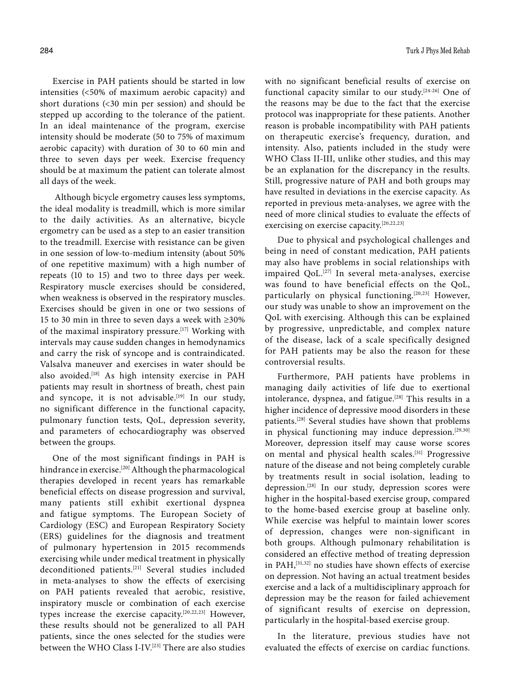Exercise in PAH patients should be started in low intensities (<50% of maximum aerobic capacity) and short durations (<30 min per session) and should be stepped up according to the tolerance of the patient. In an ideal maintenance of the program, exercise intensity should be moderate (50 to 75% of maximum aerobic capacity) with duration of 30 to 60 min and three to seven days per week. Exercise frequency should be at maximum the patient can tolerate almost all days of the week.

 Although bicycle ergometry causes less symptoms, the ideal modality is treadmill, which is more similar to the daily activities. As an alternative, bicycle ergometry can be used as a step to an easier transition to the treadmill. Exercise with resistance can be given in one session of low-to-medium intensity (about 50% of one repetitive maximum) with a high number of repeats (10 to 15) and two to three days per week. Respiratory muscle exercises should be considered, when weakness is observed in the respiratory muscles. Exercises should be given in one or two sessions of 15 to 30 min in three to seven days a week with ≥30% of the maximal inspiratory pressure.<sup>[17]</sup> Working with intervals may cause sudden changes in hemodynamics and carry the risk of syncope and is contraindicated. Valsalva maneuver and exercises in water should be also avoided.<sup>[18]</sup> As high intensity exercise in PAH patients may result in shortness of breath, chest pain and syncope, it is not advisable.<sup>[19]</sup> In our study, no significant difference in the functional capacity, pulmonary function tests, QoL, depression severity, and parameters of echocardiography was observed between the groups.

One of the most significant findings in PAH is hindrance in exercise.<sup>[20]</sup> Although the pharmacological therapies developed in recent years has remarkable beneficial effects on disease progression and survival, many patients still exhibit exertional dyspnea and fatigue symptoms. The European Society of Cardiology (ESC) and European Respiratory Society (ERS) guidelines for the diagnosis and treatment of pulmonary hypertension in 2015 recommends exercising while under medical treatment in physically deconditioned patients.<sup>[21]</sup> Several studies included in meta-analyses to show the effects of exercising on PAH patients revealed that aerobic, resistive, inspiratory muscle or combination of each exercise types increase the exercise capacity.[20,22,23] However, these results should not be generalized to all PAH patients, since the ones selected for the studies were between the WHO Class I-IV.[23] There are also studies with no significant beneficial results of exercise on functional capacity similar to our study.[24-26] One of the reasons may be due to the fact that the exercise protocol was inappropriate for these patients. Another reason is probable incompatibility with PAH patients on therapeutic exercise's frequency, duration, and intensity. Also, patients included in the study were WHO Class II-III, unlike other studies, and this may be an explanation for the discrepancy in the results. Still, progressive nature of PAH and both groups may have resulted in deviations in the exercise capacity. As reported in previous meta-analyses, we agree with the need of more clinical studies to evaluate the effects of exercising on exercise capacity.[20,22,23]

Due to physical and psychological challenges and being in need of constant medication, PAH patients may also have problems in social relationships with impaired QoL.[27] In several meta-analyses, exercise was found to have beneficial effects on the QoL, particularly on physical functioning.<sup>[20,23]</sup> However, our study was unable to show an improvement on the QoL with exercising. Although this can be explained by progressive, unpredictable, and complex nature of the disease, lack of a scale specifically designed for PAH patients may be also the reason for these controversial results.

Furthermore, PAH patients have problems in managing daily activities of life due to exertional intolerance, dyspnea, and fatigue.<sup>[28]</sup> This results in a higher incidence of depressive mood disorders in these patients.[28] Several studies have shown that problems in physical functioning may induce depression.<sup>[29,30]</sup> Moreover, depression itself may cause worse scores on mental and physical health scales.[31] Progressive nature of the disease and not being completely curable by treatments result in social isolation, leading to depression.[28] In our study, depression scores were higher in the hospital-based exercise group, compared to the home-based exercise group at baseline only. While exercise was helpful to maintain lower scores of depression, changes were non-significant in both groups. Although pulmonary rehabilitation is considered an effective method of treating depression in PAH,[31,32] no studies have shown effects of exercise on depression. Not having an actual treatment besides exercise and a lack of a multidisciplinary approach for depression may be the reason for failed achievement of significant results of exercise on depression, particularly in the hospital-based exercise group.

In the literature, previous studies have not evaluated the effects of exercise on cardiac functions.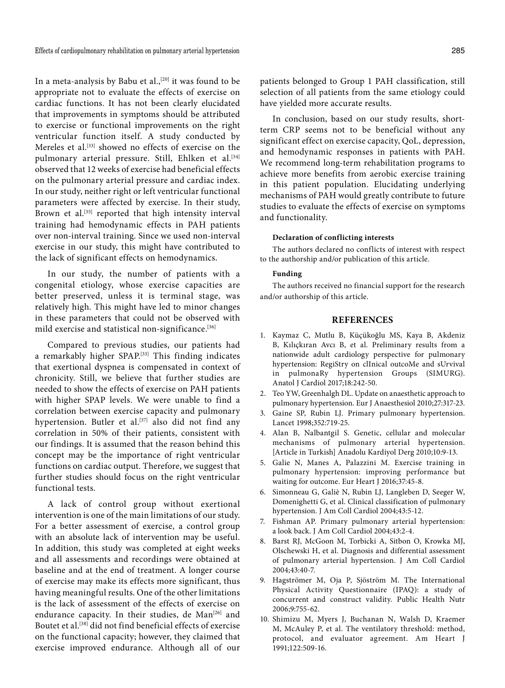In a meta-analysis by Babu et al.,<sup>[20]</sup> it was found to be appropriate not to evaluate the effects of exercise on cardiac functions. It has not been clearly elucidated that improvements in symptoms should be attributed to exercise or functional improvements on the right ventricular function itself. A study conducted by Mereles et al.[33] showed no effects of exercise on the pulmonary arterial pressure. Still, Ehlken et al.<sup>[34]</sup> observed that 12 weeks of exercise had beneficial effects on the pulmonary arterial pressure and cardiac index. In our study, neither right or left ventricular functional parameters were affected by exercise. In their study, Brown et al.<sup>[35]</sup> reported that high intensity interval training had hemodynamic effects in PAH patients over non-interval training. Since we used non-interval exercise in our study, this might have contributed to the lack of significant effects on hemodynamics.

In our study, the number of patients with a congenital etiology, whose exercise capacities are better preserved, unless it is terminal stage, was relatively high. This might have led to minor changes in these parameters that could not be observed with mild exercise and statistical non-significance.[36]

Compared to previous studies, our patients had a remarkably higher SPAP.[33] This finding indicates that exertional dyspnea is compensated in context of chronicity. Still, we believe that further studies are needed to show the effects of exercise on PAH patients with higher SPAP levels. We were unable to find a correlation between exercise capacity and pulmonary hypertension. Butler et al.<sup>[37]</sup> also did not find any correlation in 50% of their patients, consistent with our findings. It is assumed that the reason behind this concept may be the importance of right ventricular functions on cardiac output. Therefore, we suggest that further studies should focus on the right ventricular functional tests.

A lack of control group without exertional intervention is one of the main limitations of our study. For a better assessment of exercise, a control group with an absolute lack of intervention may be useful. In addition, this study was completed at eight weeks and all assessments and recordings were obtained at baseline and at the end of treatment. A longer course of exercise may make its effects more significant, thus having meaningful results. One of the other limitations is the lack of assessment of the effects of exercise on endurance capacity. In their studies, de Man<sup>[26]</sup> and Boutet et al.[38] did not find beneficial effects of exercise on the functional capacity; however, they claimed that exercise improved endurance. Although all of our

patients belonged to Group 1 PAH classification, still selection of all patients from the same etiology could have yielded more accurate results.

In conclusion, based on our study results, shortterm CRP seems not to be beneficial without any significant effect on exercise capacity, QoL, depression, and hemodynamic responses in patients with PAH. We recommend long-term rehabilitation programs to achieve more benefits from aerobic exercise training in this patient population. Elucidating underlying mechanisms of PAH would greatly contribute to future studies to evaluate the effects of exercise on symptoms and functionality.

#### **Declaration of conflicting interests**

The authors declared no conflicts of interest with respect to the authorship and/or publication of this article.

#### **Funding**

The authors received no financial support for the research and/or authorship of this article.

# **REFERENCES**

- 1. Kaymaz C, Mutlu B, Küçükoğlu MS, Kaya B, Akdeniz B, Kılıçkıran Avcı B, et al. Preliminary results from a nationwide adult cardiology perspective for pulmonary hypertension: RegiStry on clInical outcoMe and sUrvival in pulmonaRy hypertension Groups (SIMURG). Anatol J Cardiol 2017;18:242-50.
- 2. Teo YW, Greenhalgh DL. Update on anaesthetic approach to pulmonary hypertension. Eur J Anaesthesiol 2010;27:317-23.
- 3. Gaine SP, Rubin LJ. Primary pulmonary hypertension. Lancet 1998;352:719-25.
- 4. Alan B, Nalbantgil S. Genetic, cellular and molecular mechanisms of pulmonary arterial hypertension. [Article in Turkish] Anadolu Kardiyol Derg 2010;10:9-13.
- 5. Galie N, Manes A, Palazzini M. Exercise training in pulmonary hypertension: improving performance but waiting for outcome. Eur Heart J 2016;37:45-8.
- 6. Simonneau G, Galiè N, Rubin LJ, Langleben D, Seeger W, Domenighetti G, et al. Clinical classification of pulmonary hypertension. J Am Coll Cardiol 2004;43:5-12.
- 7. Fishman AP. Primary pulmonary arterial hypertension: a look back. J Am Coll Cardiol 2004;43:2-4.
- 8. Barst RJ, McGoon M, Torbicki A, Sitbon O, Krowka MJ, Olschewski H, et al. Diagnosis and differential assessment of pulmonary arterial hypertension. J Am Coll Cardiol 2004;43:40-7.
- 9. Hagströmer M, Oja P, Sjöström M. The International Physical Activity Questionnaire (IPAQ): a study of concurrent and construct validity. Public Health Nutr 2006;9:755-62.
- 10. Shimizu M, Myers J, Buchanan N, Walsh D, Kraemer M, McAuley P, et al. The ventilatory threshold: method, protocol, and evaluator agreement. Am Heart J 1991;122:509-16.